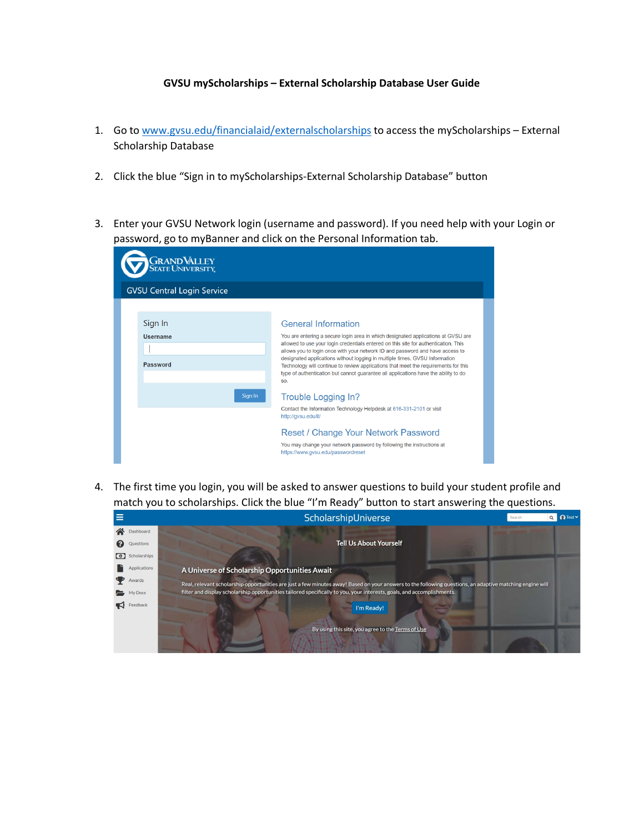## **GVSU myScholarships – External Scholarship Database User Guide**

- 1. Go to [www.gvsu.edu/financialaid/externalscholarships](http://www.gvsu.edu/financialaid/externalscholarships) to access the myScholarships External Scholarship Database
- 2. Click the blue "Sign in to myScholarships-External Scholarship Database" button
- 3. Enter your GVSU Network login (username and password). If you need help with your Login or password, go to myBanner and click on the Personal Information tab.

| <b>GRAND VALLEY</b><br>State University |                                                                                                                                                                                                                                                                                                                                          |  |  |  |  |  |  |  |
|-----------------------------------------|------------------------------------------------------------------------------------------------------------------------------------------------------------------------------------------------------------------------------------------------------------------------------------------------------------------------------------------|--|--|--|--|--|--|--|
| <b>GVSU Central Login Service</b>       |                                                                                                                                                                                                                                                                                                                                          |  |  |  |  |  |  |  |
| Sign In                                 | <b>General Information</b>                                                                                                                                                                                                                                                                                                               |  |  |  |  |  |  |  |
| Username                                | You are entering a secure login area in which designated applications at GVSU are<br>allowed to use your login credentials entered on this site for authentication. This<br>allows you to login once with your network ID and password and have access to<br>designated applications without logging in multiple times. GVSU Information |  |  |  |  |  |  |  |
| <b>Password</b>                         | Technology will continue to review applications that meet the requirements for this<br>type of authentication but cannot guarantee all applications have the ability to do<br>SO.                                                                                                                                                        |  |  |  |  |  |  |  |
| Sign In                                 | Trouble Logging In?                                                                                                                                                                                                                                                                                                                      |  |  |  |  |  |  |  |
|                                         | Contact the Information Technology Helpdesk at 616-331-2101 or visit<br>http://gvsu.edu/it/                                                                                                                                                                                                                                              |  |  |  |  |  |  |  |
|                                         | Reset / Change Your Network Password                                                                                                                                                                                                                                                                                                     |  |  |  |  |  |  |  |
|                                         | You may change your network password by following the instructions at<br>https://www.qvsu.edu/passwordreset                                                                                                                                                                                                                              |  |  |  |  |  |  |  |

4. The first time you login, you will be asked to answer questions to build your student profile and match you to scholarships. Click the blue "I'm Ready" button to start answering the questions.

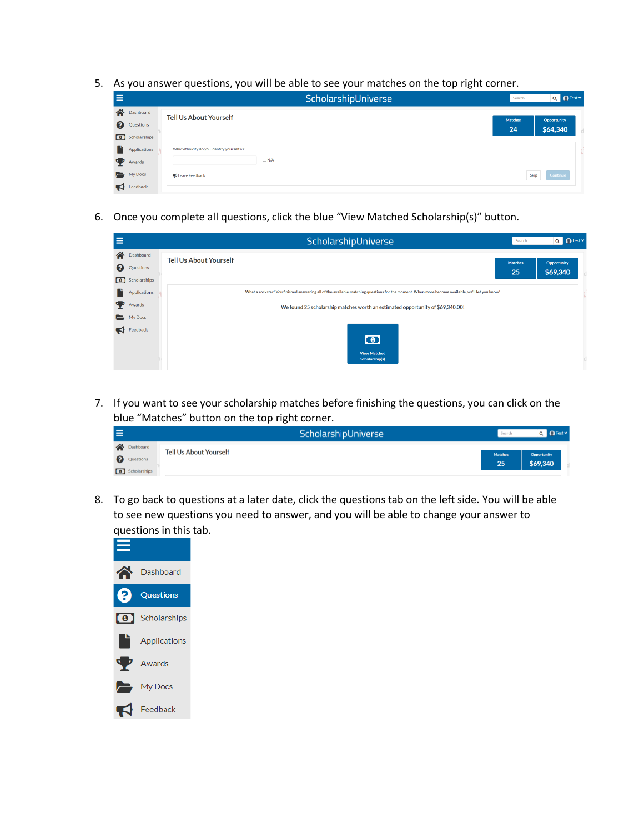5. As you answer questions, you will be able to see your matches on the top right corner.

| $\equiv$  |              | ScholarshipUniverse                         | Search         | Q OTest v          |  |
|-----------|--------------|---------------------------------------------|----------------|--------------------|--|
| ☎         | Dashboard    | <b>Tell Us About Yourself</b>               | <b>Matches</b> | <b>Opportunity</b> |  |
| ଵ         | Questions    |                                             | 24             | \$64,340           |  |
| $\bullet$ | Scholarships |                                             |                |                    |  |
| n.        | Applications | What ethnicity do you identify yourself as? |                |                    |  |
| ❤         | Awards       | $\square$ N/A                               |                |                    |  |
|           | My Docs      | Leave Feedback                              | Skip           | Continue           |  |
|           | Feedback     |                                             |                |                    |  |

6. Once you complete all questions, click the blue "View Matched Scholarship(s)" button.

| E |                                                                                                      | ScholarshipUniverse                                                                                                                                                                                                               | Search        | Q OTest v               |
|---|------------------------------------------------------------------------------------------------------|-----------------------------------------------------------------------------------------------------------------------------------------------------------------------------------------------------------------------------------|---------------|-------------------------|
|   | <b>A</b> Dashboard<br><b>Q</b> Questions<br><b>0</b> Scholarships                                    | <b>Tell Us About Yourself</b>                                                                                                                                                                                                     | Matches<br>25 | Opportunity<br>\$69,340 |
|   | $\begin{bmatrix} \mathbf{h} \\ \mathbf{h} \end{bmatrix}$ Applications<br>$\bullet$ Awards<br>My Docs | What a rockstar! You finished answering all of the available matching questions for the moment. When more become available, we'll let you know!<br>We found 25 scholarship matches worth an estimated opportunity of \$69,340.00! |               |                         |
|   | Feedback                                                                                             | $\lceil 0 \rceil$<br><b>View Matched</b><br>Scholarship(s)                                                                                                                                                                        |               | d                       |

7. If you want to see your scholarship matches before finishing the questions, you can click on the blue "Matches" button on the top right corner.

| Ξ                                           | ScholarshipUniverse           | Search         | $Q$ $Q$ Test $\blacktriangleright$ |
|---------------------------------------------|-------------------------------|----------------|------------------------------------|
| <b>Dashboard</b>                            | <b>Tell Us About Yourself</b> | <b>Matches</b> | <b>Opportunity</b>                 |
| <b>Q</b> Questions<br><b>0</b> Scholarships |                               | 25             | \$69,340                           |

8. To go back to questions at a later date, click the questions tab on the left side. You will be able to see new questions you need to answer, and you will be able to change your answer to questions in this tab.